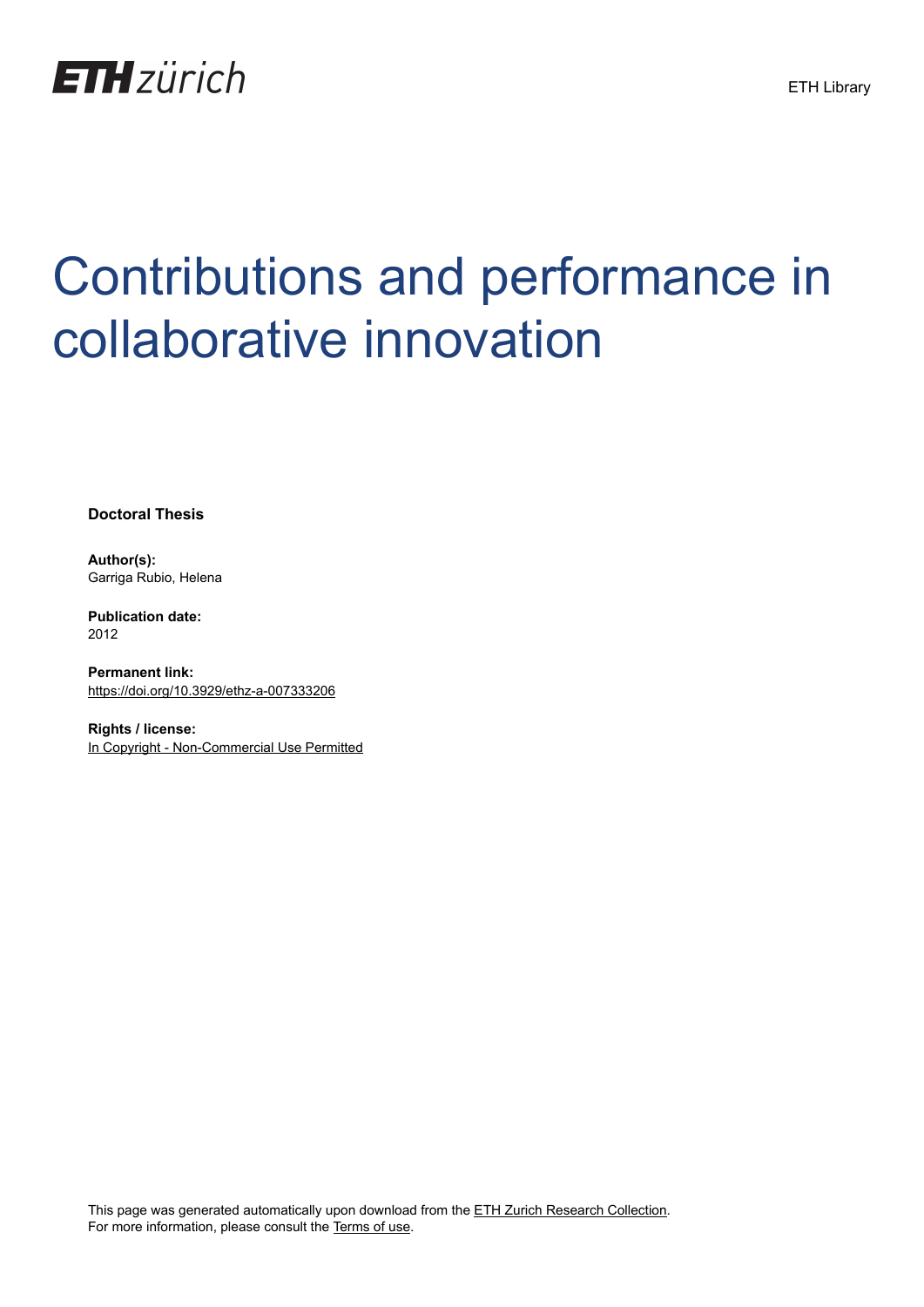

# Contributions and performance in collaborative innovation

**Doctoral Thesis**

**Author(s):** Garriga Rubio, Helena

**Publication date:** 2012

**Permanent link:** <https://doi.org/10.3929/ethz-a-007333206>

**Rights / license:** [In Copyright - Non-Commercial Use Permitted](http://rightsstatements.org/page/InC-NC/1.0/)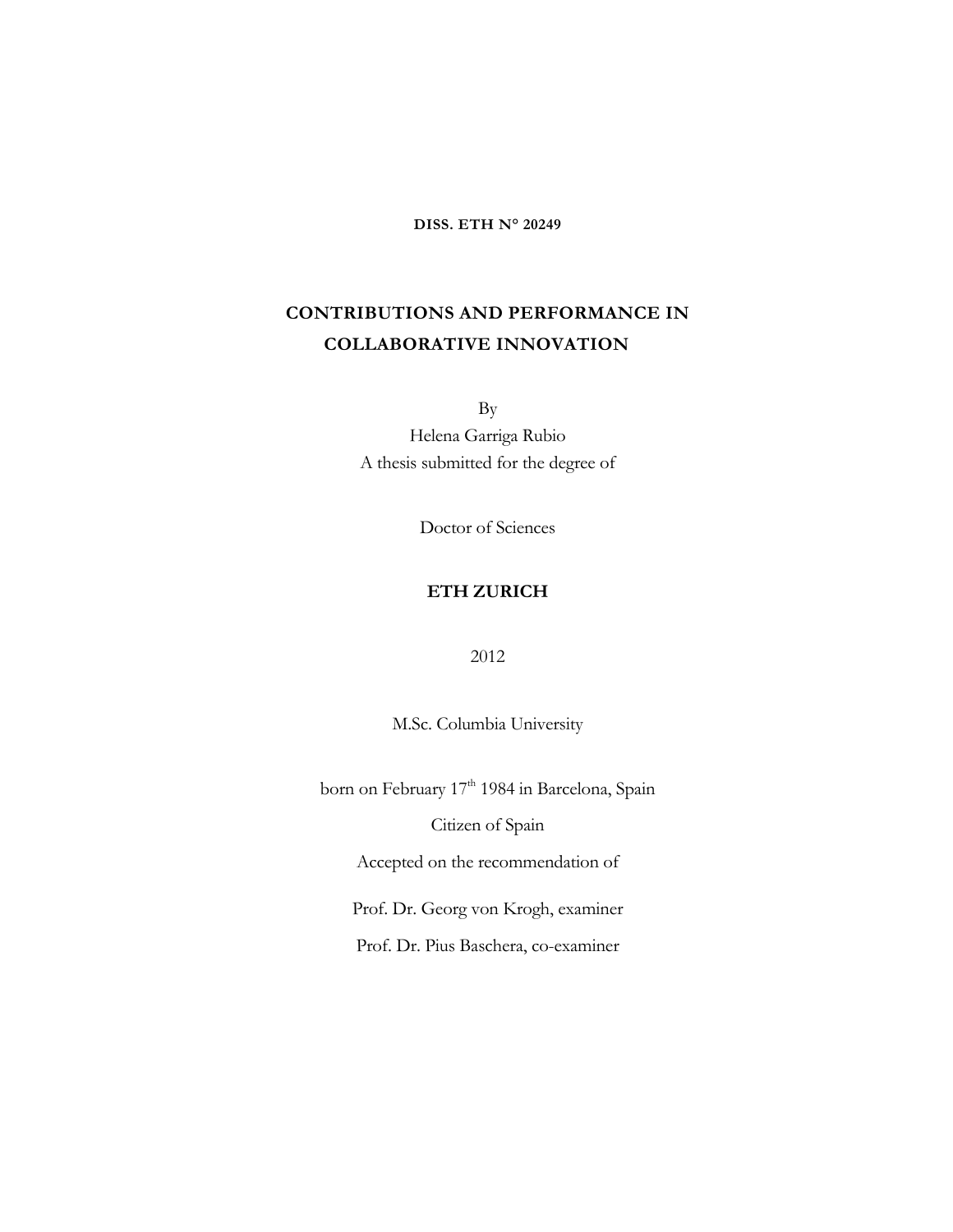**DISS. ETH N° 20249**

# **CONTRIBUTIONS AND PERFORMANCE IN COLLABORATIVE INNOVATION**

By

Helena Garriga Rubio A thesis submitted for the degree of

Doctor of Sciences

#### **ETH ZURICH**

2012

M.Sc. Columbia University

born on February 17<sup>th</sup> 1984 in Barcelona, Spain

Citizen of Spain

Accepted on the recommendation of

Prof. Dr. Georg von Krogh, examiner

Prof. Dr. Pius Baschera, co-examiner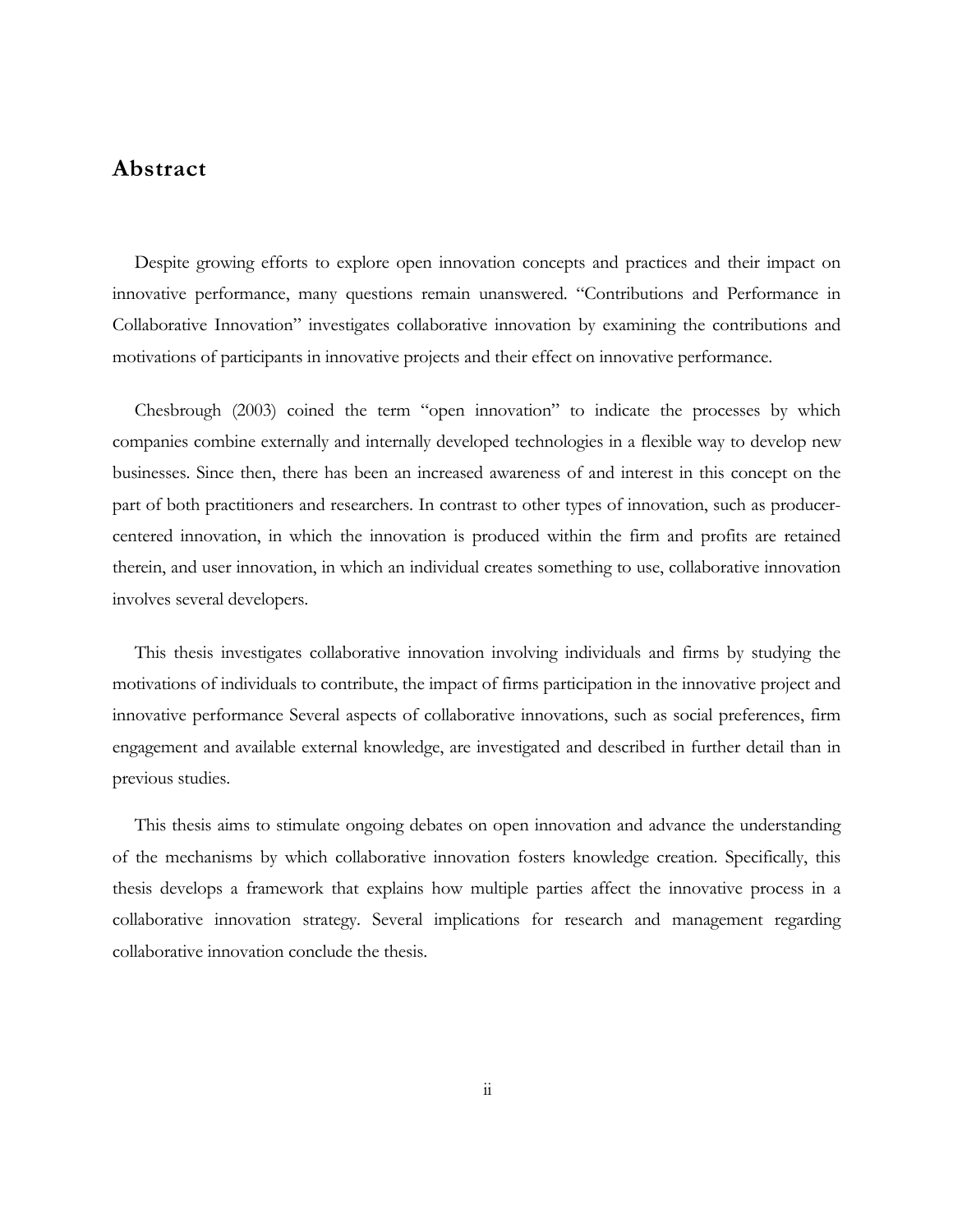### **Abstract**

Despite growing efforts to explore open innovation concepts and practices and their impact on innovative performance, many questions remain unanswered. "Contributions and Performance in Collaborative Innovation" investigates collaborative innovation by examining the contributions and motivations of participants in innovative projects and their effect on innovative performance.

Chesbrough (2003) coined the term "open innovation" to indicate the processes by which companies combine externally and internally developed technologies in a flexible way to develop new businesses. Since then, there has been an increased awareness of and interest in this concept on the part of both practitioners and researchers. In contrast to other types of innovation, such as producercentered innovation, in which the innovation is produced within the firm and profits are retained therein, and user innovation, in which an individual creates something to use, collaborative innovation involves several developers.

This thesis investigates collaborative innovation involving individuals and firms by studying the motivations of individuals to contribute, the impact of firms participation in the innovative project and innovative performance Several aspects of collaborative innovations, such as social preferences, firm engagement and available external knowledge, are investigated and described in further detail than in previous studies.

This thesis aims to stimulate ongoing debates on open innovation and advance the understanding of the mechanisms by which collaborative innovation fosters knowledge creation. Specifically, this thesis develops a framework that explains how multiple parties affect the innovative process in a collaborative innovation strategy. Several implications for research and management regarding collaborative innovation conclude the thesis.